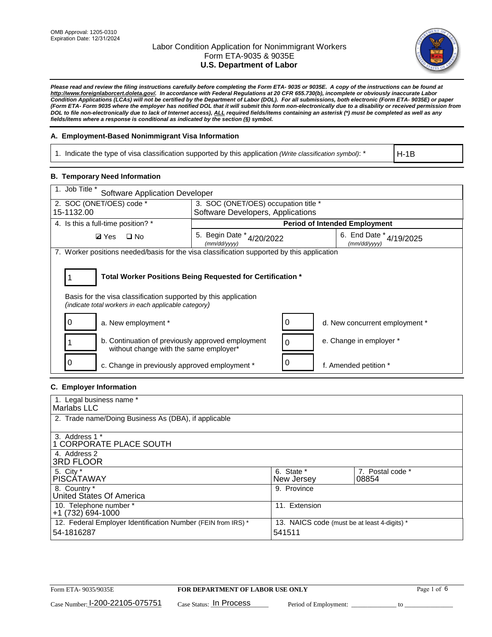

*Please read and review the filing instructions carefully before completing the Form ETA- 9035 or 9035E. A copy of the instructions can be found at http://www.foreignlaborcert.doleta.gov/. In accordance with Federal Regulations at 20 CFR 655.730(b), incomplete or obviously inaccurate Labor Condition Applications (LCAs) will not be certified by the Department of Labor (DOL). For all submissions, both electronic (Form ETA- 9035E) or paper (Form ETA- Form 9035 where the employer has notified DOL that it will submit this form non-electronically due to a disability or received permission from DOL to file non-electronically due to lack of Internet access), ALL required fields/items containing an asterisk (\*) must be completed as well as any fields/items where a response is conditional as indicated by the section (§) symbol.* 

### **A. Employment-Based Nonimmigrant Visa Information**

1. Indicate the type of visa classification supported by this application *(Write classification symbol)*: \*

H-1B

#### **B. Temporary Need Information**

| 1. Job Title *<br><b>Software Application Developer</b>                                                                                                                               |                                               |  |                                             |  |  |
|---------------------------------------------------------------------------------------------------------------------------------------------------------------------------------------|-----------------------------------------------|--|---------------------------------------------|--|--|
| 2. SOC (ONET/OES) code *                                                                                                                                                              | 3. SOC (ONET/OES) occupation title *          |  |                                             |  |  |
| 15-1132.00                                                                                                                                                                            | Software Developers, Applications             |  |                                             |  |  |
| 4. Is this a full-time position? *                                                                                                                                                    |                                               |  | <b>Period of Intended Employment</b>        |  |  |
| <b>Ø</b> Yes<br>$\Box$ No                                                                                                                                                             | 5. Begin Date $*_{4/20/2022}$<br>(mm/dd/yyyy) |  | 6. End Date $*_{4/19/2025}$<br>(mm/dd/yyyy) |  |  |
| 7. Worker positions needed/basis for the visa classification supported by this application                                                                                            |                                               |  |                                             |  |  |
| Total Worker Positions Being Requested for Certification *<br>Basis for the visa classification supported by this application<br>(indicate total workers in each applicable category) |                                               |  |                                             |  |  |
| a. New employment *                                                                                                                                                                   |                                               |  | d. New concurrent employment *              |  |  |
| b. Continuation of previously approved employment<br>without change with the same employer*                                                                                           |                                               |  | e. Change in employer *                     |  |  |
| c. Change in previously approved employment *                                                                                                                                         |                                               |  | f. Amended petition *                       |  |  |

### **C. Employer Information**

| 1. Legal business name *                                     |                                              |                  |
|--------------------------------------------------------------|----------------------------------------------|------------------|
| Marlabs LLC                                                  |                                              |                  |
| 2. Trade name/Doing Business As (DBA), if applicable         |                                              |                  |
|                                                              |                                              |                  |
| 3. Address 1 *                                               |                                              |                  |
| <b>1 CORPORATE PLACE SOUTH</b>                               |                                              |                  |
| 4. Address 2                                                 |                                              |                  |
| <b>3RD FLOOR</b>                                             |                                              |                  |
| 5. City *                                                    | 6. State *                                   | 7. Postal code * |
| <b>PISCÁTAWAY</b>                                            | New Jersey                                   | 08854            |
| 8. Country *                                                 | 9. Province                                  |                  |
| United States Of America                                     |                                              |                  |
| 10. Telephone number *                                       | 11. Extension                                |                  |
| +1 (732) 694-1000                                            |                                              |                  |
| 12. Federal Employer Identification Number (FEIN from IRS) * | 13. NAICS code (must be at least 4-digits) * |                  |
| 54-1816287                                                   | 541511                                       |                  |
|                                                              |                                              |                  |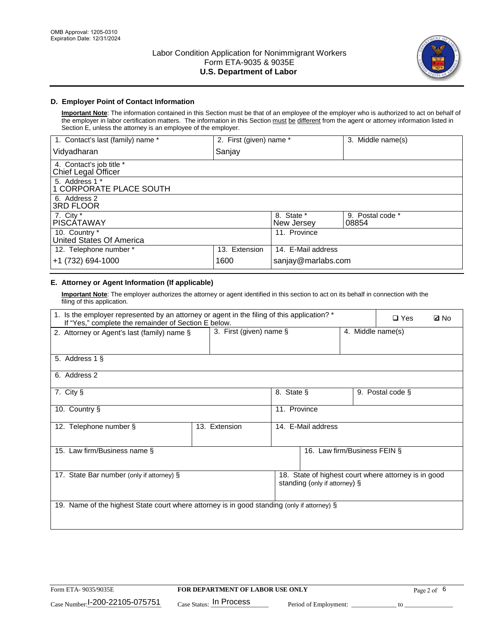

### **D. Employer Point of Contact Information**

**Important Note**: The information contained in this Section must be that of an employee of the employer who is authorized to act on behalf of the employer in labor certification matters. The information in this Section must be different from the agent or attorney information listed in Section E, unless the attorney is an employee of the employer.

| 1. Contact's last (family) name *               | 2. First (given) name * |                          | 3. Middle name(s)         |
|-------------------------------------------------|-------------------------|--------------------------|---------------------------|
| Vidyadharan                                     | Sanjay                  |                          |                           |
| 4. Contact's job title *<br>Chief Legal Officer |                         |                          |                           |
| 5. Address 1 *<br>1 CORPORATE PLACE SOUTH       |                         |                          |                           |
| 6. Address 2<br><b>3RD FLOOR</b>                |                         |                          |                           |
| 7. City *<br><b>PISCÁTAWAY</b>                  |                         | 8. State *<br>New Jersey | 9. Postal code *<br>08854 |
| 10. Country *<br>United States Of America       |                         | 11. Province             |                           |
| 12. Telephone number *                          | 13. Extension           | 14. E-Mail address       |                           |
| +1 (732) 694-1000                               | 1600                    | sanjay@marlabs.com       |                           |

# **E. Attorney or Agent Information (If applicable)**

**Important Note**: The employer authorizes the attorney or agent identified in this section to act on its behalf in connection with the filing of this application.

| 1. Is the employer represented by an attorney or agent in the filing of this application? *<br>If "Yes," complete the remainder of Section E below. |                         | $\Box$ Yes   | <b>ØNo</b>                    |                   |                                                      |  |
|-----------------------------------------------------------------------------------------------------------------------------------------------------|-------------------------|--------------|-------------------------------|-------------------|------------------------------------------------------|--|
| 2. Attorney or Agent's last (family) name §                                                                                                         | 3. First (given) name § |              |                               | 4. Middle name(s) |                                                      |  |
| 5. Address 1 §                                                                                                                                      |                         |              |                               |                   |                                                      |  |
| 6. Address 2                                                                                                                                        |                         |              |                               |                   |                                                      |  |
| 7. City §                                                                                                                                           |                         | 8. State §   |                               |                   | 9. Postal code §                                     |  |
| 10. Country §                                                                                                                                       |                         | 11. Province |                               |                   |                                                      |  |
| 12. Telephone number §                                                                                                                              | 13. Extension           |              | 14. E-Mail address            |                   |                                                      |  |
| 15. Law firm/Business name §                                                                                                                        |                         |              | 16. Law firm/Business FEIN §  |                   |                                                      |  |
| 17. State Bar number (only if attorney) §                                                                                                           |                         |              | standing (only if attorney) § |                   | 18. State of highest court where attorney is in good |  |
| 19. Name of the highest State court where attorney is in good standing (only if attorney) §                                                         |                         |              |                               |                   |                                                      |  |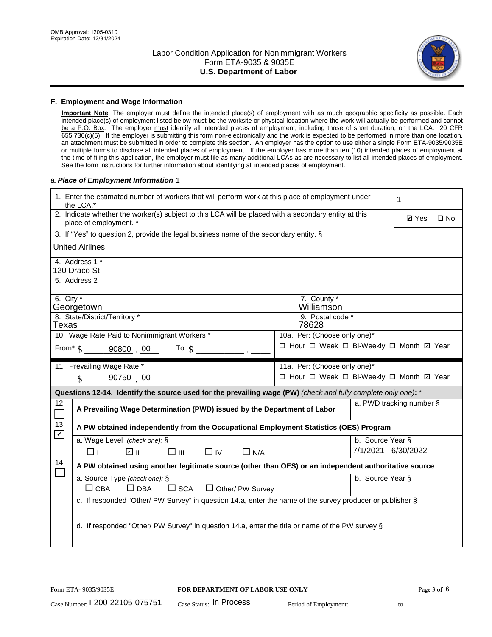

#### **F. Employment and Wage Information**

**Important Note**: The employer must define the intended place(s) of employment with as much geographic specificity as possible. Each intended place(s) of employment listed below must be the worksite or physical location where the work will actually be performed and cannot be a P.O. Box. The employer must identify all intended places of employment, including those of short duration, on the LCA. 20 CFR 655.730(c)(5). If the employer is submitting this form non-electronically and the work is expected to be performed in more than one location, an attachment must be submitted in order to complete this section. An employer has the option to use either a single Form ETA-9035/9035E or multiple forms to disclose all intended places of employment. If the employer has more than ten (10) intended places of employment at the time of filing this application, the employer must file as many additional LCAs as are necessary to list all intended places of employment. See the form instructions for further information about identifying all intended places of employment.

#### a.*Place of Employment Information* 1

|                                                                                    | 1. Enter the estimated number of workers that will perform work at this place of employment under<br>the LCA.*                 |  | 1                                        |                      |                          |              |  |
|------------------------------------------------------------------------------------|--------------------------------------------------------------------------------------------------------------------------------|--|------------------------------------------|----------------------|--------------------------|--------------|--|
|                                                                                    | 2. Indicate whether the worker(s) subject to this LCA will be placed with a secondary entity at this<br>place of employment. * |  |                                          |                      | <b>Ø</b> Yes             | $\square$ No |  |
|                                                                                    | 3. If "Yes" to question 2, provide the legal business name of the secondary entity. §                                          |  |                                          |                      |                          |              |  |
|                                                                                    | <b>United Airlines</b>                                                                                                         |  |                                          |                      |                          |              |  |
|                                                                                    | 4. Address 1 *<br>120 Draco St                                                                                                 |  |                                          |                      |                          |              |  |
|                                                                                    | 5. Address 2                                                                                                                   |  |                                          |                      |                          |              |  |
|                                                                                    | 6. City $*$<br>7. County *<br>Williamson<br>Georgetown                                                                         |  |                                          |                      |                          |              |  |
|                                                                                    | 8. State/District/Territory *<br>9. Postal code *<br>Texas<br>78628                                                            |  |                                          |                      |                          |              |  |
| 10. Wage Rate Paid to Nonimmigrant Workers *<br>10a. Per: (Choose only one)*       |                                                                                                                                |  |                                          |                      |                          |              |  |
| □ Hour □ Week □ Bi-Weekly □ Month 回 Year<br>From $\frac{1}{5}$ 90800 00<br>To: $$$ |                                                                                                                                |  |                                          |                      |                          |              |  |
|                                                                                    | 11. Prevailing Wage Rate *                                                                                                     |  | 11a. Per: (Choose only one)*             |                      |                          |              |  |
|                                                                                    | 90750 00<br>$\mathbf{\hat{S}}$                                                                                                 |  | □ Hour □ Week □ Bi-Weekly □ Month 回 Year |                      |                          |              |  |
|                                                                                    | Questions 12-14. Identify the source used for the prevailing wage (PW) (check and fully complete only one): *                  |  |                                          |                      |                          |              |  |
| 12.<br>$\mathcal{L}_{\mathcal{A}}$                                                 | A Prevailing Wage Determination (PWD) issued by the Department of Labor                                                        |  |                                          |                      | a. PWD tracking number § |              |  |
| 13.<br>$\boxed{\checkmark}$                                                        | A PW obtained independently from the Occupational Employment Statistics (OES) Program                                          |  |                                          |                      |                          |              |  |
|                                                                                    | a. Wage Level (check one): §                                                                                                   |  |                                          | b. Source Year §     |                          |              |  |
|                                                                                    | ∥ ⊡<br>□⊥<br>$\square$ $\square$<br>$\Box$ IV<br>$\Box$ N/A                                                                    |  |                                          | 7/1/2021 - 6/30/2022 |                          |              |  |
| 14.                                                                                | A PW obtained using another legitimate source (other than OES) or an independent authoritative source                          |  |                                          |                      |                          |              |  |
|                                                                                    | a. Source Type (check one): §<br>b. Source Year §<br>$\Box$ CBA<br>$\Box$ DBA<br>$\Box$ SCA<br>$\Box$ Other/ PW Survey         |  |                                          |                      |                          |              |  |
|                                                                                    | c. If responded "Other/ PW Survey" in question 14.a, enter the name of the survey producer or publisher §                      |  |                                          |                      |                          |              |  |
|                                                                                    | d. If responded "Other/ PW Survey" in question 14.a, enter the title or name of the PW survey §                                |  |                                          |                      |                          |              |  |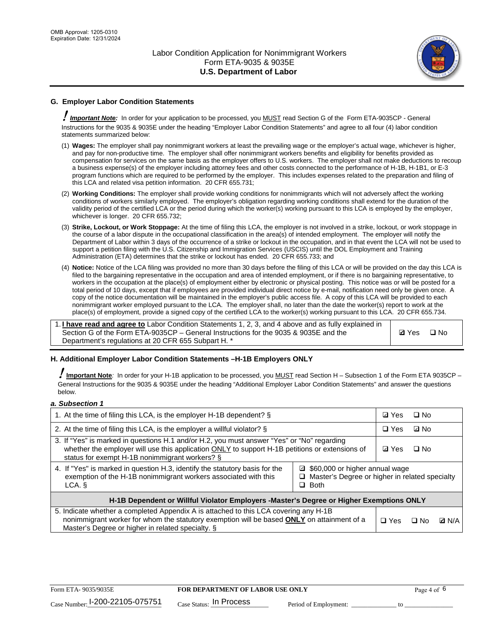

# **G. Employer Labor Condition Statements**

! *Important Note:* In order for your application to be processed, you MUST read Section G of the Form ETA-9035CP - General Instructions for the 9035 & 9035E under the heading "Employer Labor Condition Statements" and agree to all four (4) labor condition statements summarized below:

- (1) **Wages:** The employer shall pay nonimmigrant workers at least the prevailing wage or the employer's actual wage, whichever is higher, and pay for non-productive time. The employer shall offer nonimmigrant workers benefits and eligibility for benefits provided as compensation for services on the same basis as the employer offers to U.S. workers. The employer shall not make deductions to recoup a business expense(s) of the employer including attorney fees and other costs connected to the performance of H-1B, H-1B1, or E-3 program functions which are required to be performed by the employer. This includes expenses related to the preparation and filing of this LCA and related visa petition information. 20 CFR 655.731;
- (2) **Working Conditions:** The employer shall provide working conditions for nonimmigrants which will not adversely affect the working conditions of workers similarly employed. The employer's obligation regarding working conditions shall extend for the duration of the validity period of the certified LCA or the period during which the worker(s) working pursuant to this LCA is employed by the employer, whichever is longer. 20 CFR 655.732;
- (3) **Strike, Lockout, or Work Stoppage:** At the time of filing this LCA, the employer is not involved in a strike, lockout, or work stoppage in the course of a labor dispute in the occupational classification in the area(s) of intended employment. The employer will notify the Department of Labor within 3 days of the occurrence of a strike or lockout in the occupation, and in that event the LCA will not be used to support a petition filing with the U.S. Citizenship and Immigration Services (USCIS) until the DOL Employment and Training Administration (ETA) determines that the strike or lockout has ended. 20 CFR 655.733; and
- (4) **Notice:** Notice of the LCA filing was provided no more than 30 days before the filing of this LCA or will be provided on the day this LCA is filed to the bargaining representative in the occupation and area of intended employment, or if there is no bargaining representative, to workers in the occupation at the place(s) of employment either by electronic or physical posting. This notice was or will be posted for a total period of 10 days, except that if employees are provided individual direct notice by e-mail, notification need only be given once. A copy of the notice documentation will be maintained in the employer's public access file. A copy of this LCA will be provided to each nonimmigrant worker employed pursuant to the LCA. The employer shall, no later than the date the worker(s) report to work at the place(s) of employment, provide a signed copy of the certified LCA to the worker(s) working pursuant to this LCA. 20 CFR 655.734.

1. **I have read and agree to** Labor Condition Statements 1, 2, 3, and 4 above and as fully explained in Section G of the Form ETA-9035CP – General Instructions for the 9035 & 9035E and the Department's regulations at 20 CFR 655 Subpart H. \*

**Ø**Yes ロNo

#### **H. Additional Employer Labor Condition Statements –H-1B Employers ONLY**

!**Important Note***:* In order for your H-1B application to be processed, you MUST read Section H – Subsection 1 of the Form ETA 9035CP – General Instructions for the 9035 & 9035E under the heading "Additional Employer Labor Condition Statements" and answer the questions below.

#### *a. Subsection 1*

| 1. At the time of filing this LCA, is the employer H-1B dependent? §                                                                                                                                                                                          | ⊡ Yes      | □ No       |              |  |
|---------------------------------------------------------------------------------------------------------------------------------------------------------------------------------------------------------------------------------------------------------------|------------|------------|--------------|--|
| 2. At the time of filing this LCA, is the employer a willful violator? $\S$                                                                                                                                                                                   |            | $\Box$ Yes | ⊡ No         |  |
| 3. If "Yes" is marked in questions H.1 and/or H.2, you must answer "Yes" or "No" regarding<br>whether the employer will use this application ONLY to support H-1B petitions or extensions of<br>status for exempt H-1B nonimmigrant workers? §                |            |            | $\Box$ No    |  |
| 4. If "Yes" is marked in question H.3, identify the statutory basis for the<br>■ \$60,000 or higher annual wage<br>exemption of the H-1B nonimmigrant workers associated with this<br>□ Master's Degree or higher in related specialty<br>$\Box$ Both<br>LCA. |            |            |              |  |
| H-1B Dependent or Willful Violator Employers -Master's Degree or Higher Exemptions ONLY                                                                                                                                                                       |            |            |              |  |
| 5. Indicate whether a completed Appendix A is attached to this LCA covering any H-1B<br>nonimmigrant worker for whom the statutory exemption will be based <b>ONLY</b> on attainment of a<br>Master's Degree or higher in related specialty. §                | $\Box$ Yes | ⊡ No       | <b>D</b> N/A |  |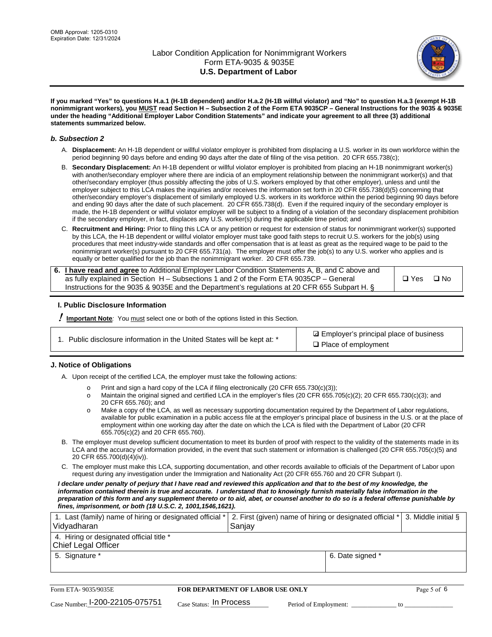

**If you marked "Yes" to questions H.a.1 (H-1B dependent) and/or H.a.2 (H-1B willful violator) and "No" to question H.a.3 (exempt H-1B nonimmigrant workers), you MUST read Section H – Subsection 2 of the Form ETA 9035CP – General Instructions for the 9035 & 9035E under the heading "Additional Employer Labor Condition Statements" and indicate your agreement to all three (3) additional statements summarized below.**

#### *b. Subsection 2*

- A. **Displacement:** An H-1B dependent or willful violator employer is prohibited from displacing a U.S. worker in its own workforce within the period beginning 90 days before and ending 90 days after the date of filing of the visa petition. 20 CFR 655.738(c);
- B. **Secondary Displacement:** An H-1B dependent or willful violator employer is prohibited from placing an H-1B nonimmigrant worker(s) with another/secondary employer where there are indicia of an employment relationship between the nonimmigrant worker(s) and that other/secondary employer (thus possibly affecting the jobs of U.S. workers employed by that other employer), unless and until the employer subject to this LCA makes the inquiries and/or receives the information set forth in 20 CFR 655.738(d)(5) concerning that other/secondary employer's displacement of similarly employed U.S. workers in its workforce within the period beginning 90 days before and ending 90 days after the date of such placement. 20 CFR 655.738(d). Even if the required inquiry of the secondary employer is made, the H-1B dependent or willful violator employer will be subject to a finding of a violation of the secondary displacement prohibition if the secondary employer, in fact, displaces any U.S. worker(s) during the applicable time period; and
- C. **Recruitment and Hiring:** Prior to filing this LCA or any petition or request for extension of status for nonimmigrant worker(s) supported by this LCA, the H-1B dependent or willful violator employer must take good faith steps to recruit U.S. workers for the job(s) using procedures that meet industry-wide standards and offer compensation that is at least as great as the required wage to be paid to the nonimmigrant worker(s) pursuant to 20 CFR 655.731(a). The employer must offer the job(s) to any U.S. worker who applies and is equally or better qualified for the job than the nonimmigrant worker. 20 CFR 655.739.

| 6. I have read and agree to Additional Employer Labor Condition Statements A, B, and C above and |       |           |
|--------------------------------------------------------------------------------------------------|-------|-----------|
| as fully explained in Section H – Subsections 1 and 2 of the Form ETA 9035CP – General           | □ Yes | $\Box$ No |
| Instructions for the 9035 & 9035E and the Department's regulations at 20 CFR 655 Subpart H. §    |       |           |

#### **I. Public Disclosure Information**

! **Important Note***:* You must select one or both of the options listed in this Section.

|  | 1. Public disclosure information in the United States will be kept at: * |  |  |  |
|--|--------------------------------------------------------------------------|--|--|--|
|  |                                                                          |  |  |  |

**sqrt** Employer's principal place of business □ Place of employment

#### **J. Notice of Obligations**

A. Upon receipt of the certified LCA, the employer must take the following actions:

- o Print and sign a hard copy of the LCA if filing electronically (20 CFR 655.730(c)(3));<br>
Maintain the original signed and certified LCA in the employer's files (20 CFR 655.7
- Maintain the original signed and certified LCA in the employer's files (20 CFR 655.705(c)(2); 20 CFR 655.730(c)(3); and 20 CFR 655.760); and
- o Make a copy of the LCA, as well as necessary supporting documentation required by the Department of Labor regulations, available for public examination in a public access file at the employer's principal place of business in the U.S. or at the place of employment within one working day after the date on which the LCA is filed with the Department of Labor (20 CFR 655.705(c)(2) and 20 CFR 655.760).
- B. The employer must develop sufficient documentation to meet its burden of proof with respect to the validity of the statements made in its LCA and the accuracy of information provided, in the event that such statement or information is challenged (20 CFR 655.705(c)(5) and 20 CFR 655.700(d)(4)(iv)).
- C. The employer must make this LCA, supporting documentation, and other records available to officials of the Department of Labor upon request during any investigation under the Immigration and Nationality Act (20 CFR 655.760 and 20 CFR Subpart I).

*I declare under penalty of perjury that I have read and reviewed this application and that to the best of my knowledge, the*  information contained therein is true and accurate. I understand that to knowingly furnish materially false information in the *preparation of this form and any supplement thereto or to aid, abet, or counsel another to do so is a federal offense punishable by fines, imprisonment, or both (18 U.S.C. 2, 1001,1546,1621).*

| 1. Last (family) name of hiring or designated official *   2. First (given) name of hiring or designated official *   3. Middle initial §<br>Vidyadharan | Saniav           |  |
|----------------------------------------------------------------------------------------------------------------------------------------------------------|------------------|--|
| 4. Hiring or designated official title *<br>Chief Legal Officer                                                                                          |                  |  |
| 5. Signature *                                                                                                                                           | 6. Date signed * |  |

| Form ETA-9035/9035E             | <b>FOR DEPARTMENT OF LABOR USE ONLY</b> |                       |  |
|---------------------------------|-----------------------------------------|-----------------------|--|
| Case Number: 1-200-22105-075751 | $_{\rm Case~S status:}$ In Process      | Period of Employment: |  |